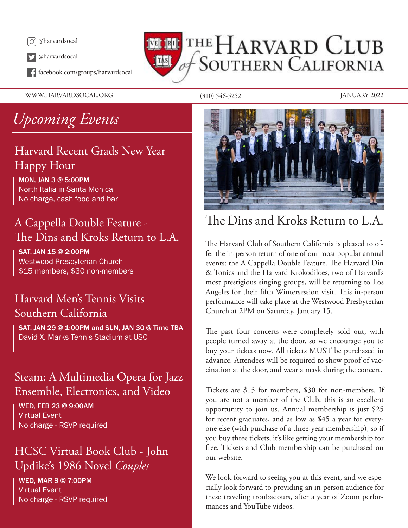

@harvardsocal

facebook.com/groups/harvardsocal

WWW.HARVARDSOCAL.ORG (310) 546-5252 JANUARY 2022

## THE HARVARD CLUB **SOUTHERN CALIFORNIA** TAS

# *Upcoming Events*

### Harvard Recent Grads New Year Happy Hour

MON, JAN 3 @ 5:00PM North Italia in Santa Monica No charge, cash food and bar

## A Cappella Double Feature - The Dins and Kroks Return to L.A.

SAT, JAN 15 @ 2:00PM Westwood Presbyterian Church \$15 members, \$30 non-members

### Harvard Men's Tennis Visits Southern California

SAT, JAN 29 @ 1:00PM and SUN, JAN 30 @ Time TBA David X. Marks Tennis Stadium at USC

### Steam: A Multimedia Opera for Jazz Ensemble, Electronics, and Video

WED, FEB 23 @ 9:00AM Virtual Event No charge - RSVP required

### HCSC Virtual Book Club - John Updike's 1986 Novel *Couples*

WED, MAR 9 @ 7:00PM Virtual Event No charge - RSVP required



## The Dins and Kroks Return to L.A.

The Harvard Club of Southern California is pleased to offer the in-person return of one of our most popular annual events: the A Cappella Double Feature. The Harvard Din & Tonics and the Harvard Krokodiloes, two of Harvard's most prestigious singing groups, will be returning to Los Angeles for their fifth Wintersession visit. This in-person performance will take place at the Westwood Presbyterian Church at 2PM on Saturday, January 15.

The past four concerts were completely sold out, with people turned away at the door, so we encourage you to buy your tickets now. All tickets MUST be purchased in advance. Attendees will be required to show proof of vaccination at the door, and wear a mask during the concert.

Tickets are \$15 for members, \$30 for non-members. If you are not a member of the Club, this is an excellent opportunity to join us. Annual membership is just \$25 for recent graduates, and as low as \$45 a year for everyone else (with purchase of a three-year membership), so if you buy three tickets, it's like getting your membership for free. Tickets and Club membership can be purchased on our website.

We look forward to seeing you at this event, and we especially look forward to providing an in-person audience for these traveling troubadours, after a year of Zoom performances and YouTube videos.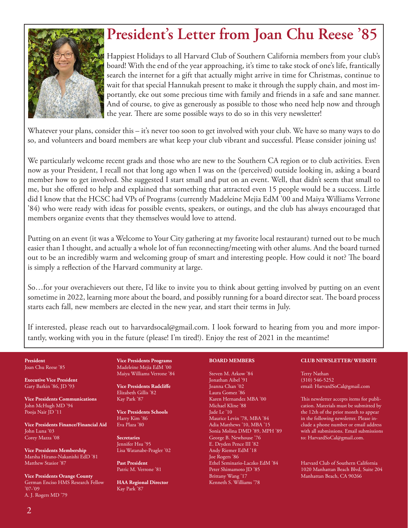

# **President's Letter from Joan Chu Reese '85**

Happiest Holidays to all Harvard Club of Southern California members from your club's board! With the end of the year approaching, it's time to take stock of one's life, frantically search the internet for a gift that actually might arrive in time for Christmas, continue to wait for that special Hannukah present to make it through the supply chain, and most importantly, eke out some precious time with family and friends in a safe and sane manner. And of course, to give as generously as possible to those who need help now and through the year. There are some possible ways to do so in this very newsletter!

Whatever your plans, consider this – it's never too soon to get involved with your club. We have so many ways to do so, and volunteers and board members are what keep your club vibrant and successful. Please consider joining us!

We particularly welcome recent grads and those who are new to the Southern CA region or to club activities. Even now as your President, I recall not that long ago when I was on the (perceived) outside looking in, asking a board member how to get involved. She suggested I start small and put on an event. Well, that didn't seem that small to me, but she offered to help and explained that something that attracted even 15 people would be a success. Little did I know that the HCSC had VPs of Programs (currently Madeleine Mejia EdM '00 and Maiya Williams Verrone '84) who were ready with ideas for possible events, speakers, or outings, and the club has always encouraged that members organize events that they themselves would love to attend.

Putting on an event (it was a Welcome to Your City gathering at my favorite local restaurant) turned out to be much easier than I thought, and actually a whole lot of fun reconnecting/meeting with other alums. And the board turned out to be an incredibly warm and welcoming group of smart and interesting people. How could it not? The board is simply a reflection of the Harvard community at large.

So…for your overachievers out there, I'd like to invite you to think about getting involved by putting on an event sometime in 2022, learning more about the board, and possibly running for a board director seat. The board process starts each fall, new members are elected in the new year, and start their terms in July.

If interested, please reach out to harvardsocal@gmail.com. I look forward to hearing from you and more importantly, working with you in the future (please! I'm tired!). Enjoy the rest of 2021 in the meantime!

**President** Joan Chu Reese '85

**Executive Vice President** Gary Barkin '86, JD '93

**Vice Presidents Communications** John McHugh MD '94 Pooja Nair JD '11

**Vice Presidents Finance/Financial Aid** John Luna '03 Corey Mazza '08

**Vice Presidents Membership** Marsha Hirano-Nakanishi EdD '81 Matthew Stasior '87

**Vice Presidents Orange County** German Enciso HMS Research Fellow '07-'09 A. J. Rogers MD '79

**Vice Presidents Programs** Madeleine Mejia EdM '00 Maiya Williams Verrone '84

**Vice Presidents Radcliffe** Elizabeth Gillis '82 Kay Park '87

**Vice Presidents Schools** Harry Kim '86 Eva Plaza '80

**Secretaries** Jennifer Hsu '95 Lisa Watanabe-Peagler '02

**Past President** Patric M. Verrone '81

**HAA Regional Director** Kay Park '87

#### **BOARD MEMBERS**

Steven M. Arkow '84 Jonathan Aibel '91 Joanna Chan '02 Laura Gomez '86 Karen Hernandez MBA '00 Michael Kline '88 Jade Le '10 Maurice Levin '78, MBA '84 Adia Matthews '10, MBA '15 Sonia Molina DMD '89, MPH '89 George B. Newhouse '76 E. Dryden Pence III '82 Andy Riemer EdM '18 Joe Rogers '86 Ethel Seminario-Laczko EdM '84 Peter Shimamoto JD '85 Brittany Wang<sup>'</sup>17 Kenneth S. Williams '78

#### **CLUB NEWSLETTER/ WEBSITE**

Terry Nathan (310) 546-5252 email: HarvardSoCal@gmail.com

This newsletter accepts items for publication. Materials must be submitted by the 12th of the prior month to appear in the following newsletter. Please include a phone number or email address with all submissions. Email submissions to: HarvardSoCal@gmail.com.

Harvard Club of Southern California 1020 Manhattan Beach Blvd, Suite 204 Manhattan Beach, CA 90266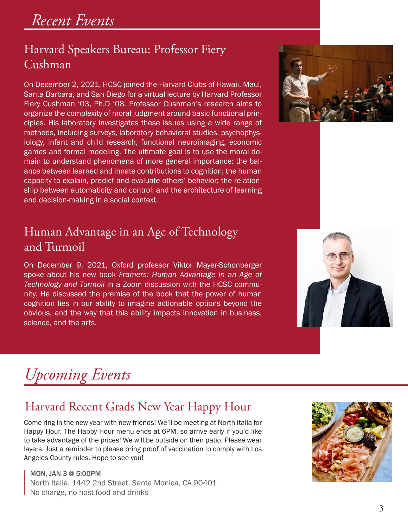### Harvard Speakers Bureau: Professor Fiery Cushman

On December 2, 2021, HCSC joined the Harvard Clubs of Hawaii, Maui, Santa Barbara, and San Diego for a virtual lecture by Harvard Professor Fiery Cushman '03, Ph.D '08. Professor Cushman's research aims to organize the complexity of moral judgment around basic functional principles. His laboratory investigates these issues using a wide range of methods, including surveys, laboratory behavioral studies, psychophysiology, infant and child research, functional neuroimaging, economic games and formal modeling. The ultimate goal is to use the moral domain to understand phenomena of more general importance: the balance between learned and innate contributions to cognition; the human capacity to explain, predict and evaluate others' behavior; the relationship between automaticity and control; and the architecture of learning and decision-making in a social context.

### Human Advantage in an Age of Technology and Turmoil

On December 9, 2021, Oxford professor Viktor Mayer-Schonberger spoke about his new book *Framers: Human Advantage in an Age of Technology and Turmoil* in a Zoom discussion with the HCSC community. He discussed the premise of the book that the power of human cognition lies in our ability to imagine actionable options beyond the obvious, and the way that this ability impacts innovation in business, science, and the arts.





# *Upcoming Events*

## Harvard Recent Grads New Year Happy Hour

Come ring in the new year with new friends! We'll be meeting at North Italia for Happy Hour. The Happy Hour menu ends at 6PM, so arrive early if you'd like to take advantage of the prices! We will be outside on their patio. Please wear layers. Just a reminder to please bring proof of vaccination to comply with Los Angeles County rules. Hope to see you!

MON, JAN 3 @ 5:00PM North Italia, 1442 2nd Street, Santa Monica, CA 90401 No charge, no host food and drinks

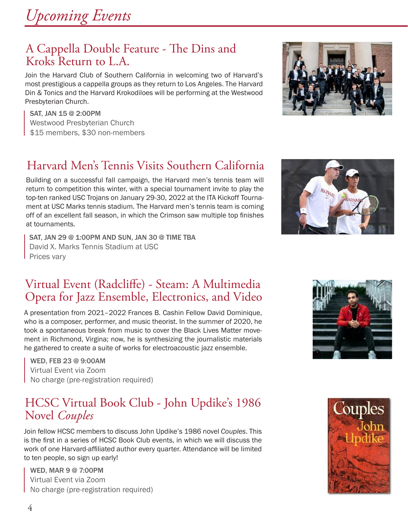*Upcoming Events*

### A Cappella Double Feature - The Dins and Kroks Return to L.A.

Join the Harvard Club of Southern California in welcoming two of Harvard's most prestigious a cappella groups as they return to Los Angeles. The Harvard Din & Tonics and the Harvard Krokodiloes will be performing at the Westwood Presbyterian Church.

SAT, JAN 15 @ 2:00PM Westwood Presbyterian Church \$15 members, \$30 non-members

## Harvard Men's Tennis Visits Southern California

Building on a successful fall campaign, the Harvard men's tennis team will return to competition this winter, with a special tournament invite to play the top-ten ranked USC Trojans on January 29-30, 2022 at the ITA Kickoff Tournament at USC Marks tennis stadium. The Harvard men's tennis team is coming off of an excellent fall season, in which the Crimson saw multiple top finishes at tournaments.

SAT, JAN 29 @ 1:00PM AND SUN, JAN 30 @ TIME TBA David X. Marks Tennis Stadium at USC Prices vary

### Virtual Event (Radcliffe) - Steam: A Multimedia Opera for Jazz Ensemble, Electronics, and Video

A presentation from 2021–2022 Frances B. Cashin Fellow David Dominique, who is a composer, performer, and music theorist. In the summer of 2020, he took a spontaneous break from music to cover the Black Lives Matter movement in Richmond, Virgina; now, he is synthesizing the journalistic materials he gathered to create a suite of works for electroacoustic jazz ensemble.

WED, FEB 23 @ 9:00AM Virtual Event via Zoom No charge (pre-registration required)

### HCSC Virtual Book Club - John Updike's 1986 Novel *Couples*

Join fellow HCSC members to discuss John Updike's 1986 novel *Couples*. This is the first in a series of HCSC Book Club events, in which we will discuss the work of one Harvard-affiliated author every quarter. Attendance will be limited to ten people, so sign up early!

WED, MAR 9 @ 7:00PM Virtual Event via Zoom No charge (pre-registration required)







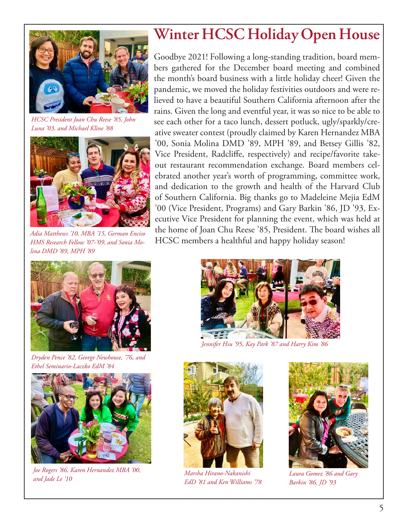

*HCSC President Joan Chu Reese '85, John Luna '03, and Michael Kline '88*



*Adia Matthews '10, MBA '15, German Enciso HMS Research Fellow '07-'09, and Sonia Molina DMD '89, MPH '89*

## **Winter HCSC Holiday Open House**

Goodbye 2021! Following a long-standing tradition, board members gathered for the December board meeting and combined the month's board business with a little holiday cheer! Given the pandemic, we moved the holiday festivities outdoors and were relieved to have a beautiful Southern California afternoon after the rains. Given the long and eventful year, it was so nice to be able to see each other for a taco lunch, dessert potluck, ugly/sparkly/creative sweater contest (proudly claimed by Karen Hernandez MBA '00, Sonia Molina DMD '89, MPH '89, and Betsey Gillis '82, Vice President, Radcliffe, respectively) and recipe/favorite takeout restaurant recommendation exchange. Board members celebrated another year's worth of programming, committee work, and dedication to the growth and health of the Harvard Club of Southern California. Big thanks go to Madeleine Mejia EdM '00 (Vice President, Programs) and Gary Barkin '86, JD '93, Executive Vice President for planning the event, which was held at the home of Joan Chu Reese '85, President. The board wishes all HCSC members a healthful and happy holiday season!



*Dryden Pence '82, George Newhouse, '76, and Ethel Seminario-Laczko EdM '84*



*Joe Rogers '86, Karen Hernandez MBA '00, and Jade Le '10*



*Jennifer Hsu '95, Kay Park '87 and Harry Kim '86*



*Marsha Hirano-Nakanishi EdD '81 and Ken Williams '78*



*Laura Gomez '86 and Gary Barkin '86, JD '93*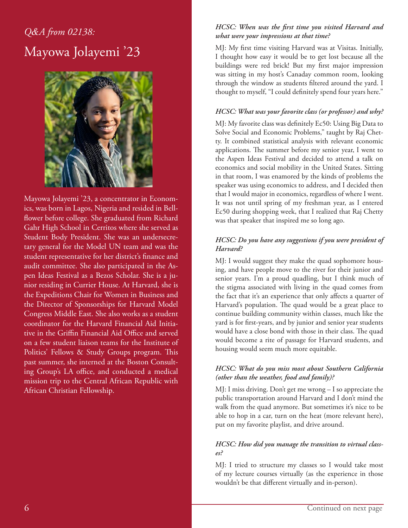## *Q&A from 02138:* Mayowa Jolayemi '23



Mayowa Jolayemi '23, a concentrator in Economics, was born in Lagos, Nigeria and resided in Bellflower before college. She graduated from Richard Gahr High School in Cerritos where she served as Student Body President. She was an undersecretary general for the Model UN team and was the student representative for her district's finance and audit committee. She also participated in the Aspen Ideas Festival as a Bezos Scholar. She is a junior residing in Currier House. At Harvard, she is the Expeditions Chair for Women in Business and the Director of Sponsorships for Harvard Model Congress Middle East. She also works as a student coordinator for the Harvard Financial Aid Initiative in the Griffin Financial Aid Office and served on a few student liaison teams for the Institute of Politics' Fellows & Study Groups program. This past summer, she interned at the Boston Consulting Group's LA office, and conducted a medical mission trip to the Central African Republic with African Christian Fellowship.

#### *HCSC: When was the first time you visited Harvard and what were your impressions at that time?*

MJ: My first time visiting Harvard was at Visitas. Initially, I thought how easy it would be to get lost because all the buildings were red brick! But my first major impression was sitting in my host's Canaday common room, looking through the window as students filtered around the yard. I thought to myself, "I could definitely spend four years here."

#### *HCSC: What was your favorite class (or professor) and why?*

MJ: My favorite class was definitely Ec50: Using Big Data to Solve Social and Economic Problems," taught by Raj Chetty. It combined statistical analysis with relevant economic applications. The summer before my senior year, I went to the Aspen Ideas Festival and decided to attend a talk on economics and social mobility in the United States. Sitting in that room, I was enamored by the kinds of problems the speaker was using economics to address, and I decided then that I would major in economics, regardless of where I went. It was not until spring of my freshman year, as I entered Ec50 during shopping week, that I realized that Raj Chetty was that speaker that inspired me so long ago.

#### *HCSC: Do you have any suggestions if you were president of Harvard?*

MJ: I would suggest they make the quad sophomore housing, and have people move to the river for their junior and senior years. I'm a proud quadling, but I think much of the stigma associated with living in the quad comes from the fact that it's an experience that only affects a quarter of Harvard's population. The quad would be a great place to continue building community within classes, much like the yard is for first-years, and by junior and senior year students would have a close bond with those in their class. The quad would become a rite of passage for Harvard students, and housing would seem much more equitable.

#### *HCSC: What do you miss most about Southern California (other than the weather, food and family)?*

MJ: I miss driving. Don't get me wrong – I so appreciate the public transportation around Harvard and I don't mind the walk from the quad anymore. But sometimes it's nice to be able to hop in a car, turn on the heat (more relevant here), put on my favorite playlist, and drive around.

#### *HCSC: How did you manage the transition to virtual classes?*

MJ: I tried to structure my classes so I would take most of my lecture courses virtually (as the experience in those wouldn't be that different virtually and in-person).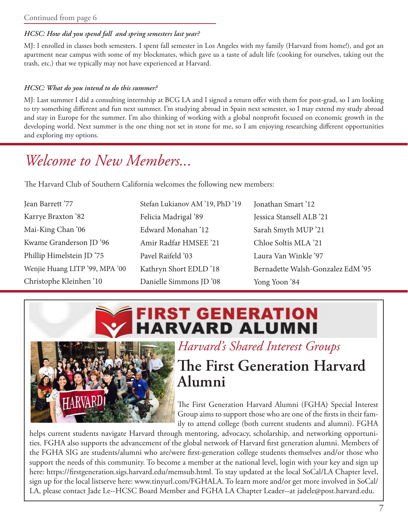#### Continued from page 6

#### *HCSC: How did you spend fall and spring semesters last year?*

MJ: I enrolled in classes both semesters. I spent fall semester in Los Angeles with my family (Harvard from home!), and got an apartment near campus with some of my blockmates, which gave us a taste of adult life (cooking for ourselves, taking out the trash, etc.) that we typically may not have experienced at Harvard.

#### *HCSC: What do you intend to do this summer?*

MJ: Last summer I did a consulting internship at BCG LA and I signed a return offer with them for post-grad, so I am looking to try something different and fun next summer. I'm studying abroad in Spain next semester, so I may extend my study abroad and stay in Europe for the summer. I'm also thinking of working with a global nonprofit focused on economic growth in the developing world. Next summer is the one thing not set in stone for me, so I am enjoying researching different opportunities and exploring my options.

## *Welcome to New Members...*

The Harvard Club of Southern California welcomes the following new members:

| Jean Barrett '77               | Stefan Lukianov AM '19, PhD '19 | Jonathan Smart '12                |
|--------------------------------|---------------------------------|-----------------------------------|
| Karrye Braxton '82             | Felicia Madrigal '89            | Jessica Stansell ALB '21          |
| Mai-King Chan '06              | Edward Monahan '12              | Sarah Smyth MUP '21               |
| Kwame Granderson JD '96        | Amir Radfar HMSEE '21           | Chloe Soltis MLA '21              |
| Phillip Himelstein JD '75      | Pavel Raifeld '03               | Laura Van Winkle '97              |
| Wenjie Huang LITP '99, MPA '00 | Kathryn Short EDLD '18          | Bernadette Walsh-Gonzalez EdM '95 |
| Christophe Kleinhen '10        | Danielle Simmons JD '08         | Yong Yoon '84                     |





*Harvard's Shared Interest Groups*

## **The First Generation Harvard Alumni**

The First Generation Harvard Alumni (FGHA) Special Interest Group aims to support those who are one of the firsts in their family to attend college (both current students and alumni). FGHA

helps current students navigate Harvard through mentoring, advocacy, scholarship, and networking opportunities. FGHA also supports the advancement of the global network of Harvard first generation alumni. Members of the FGHA SIG are students/alumni who are/were first-generation college students themselves and/or those who support the needs of this community. To become a member at the national level, login with your key and sign up here: https://firstgeneration.sigs.harvard.edu/memsub.html. To stay updated at the local SoCal/LA Chapter level, sign up for the local listserve here: www.tinyurl.com/FGHALA. To learn more and/or get more involved in SoCal/ LA, please contact Jade Le--HCSC Board Member and FGHA LA Chapter Leader--at jadele@post.harvard.edu.